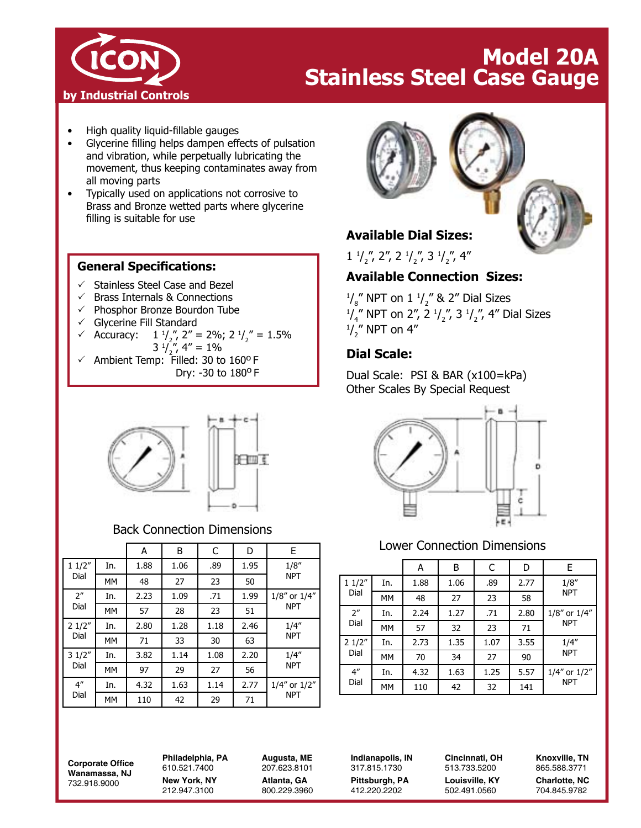

# **Model 20A Stainless Steel Case Gauge**

- High quality liquid-fillable gauges
- Glycerine filling helps dampen effects of pulsation and vibration, while perpetually lubricating the movement, thus keeping contaminates away from all moving parts
- Typically used on applications not corrosive to Brass and Bronze wetted parts where glycerine filling is suitable for use

#### **General Specifications:**

- $\checkmark$  Stainless Steel Case and Bezel
- $\checkmark$  Brass Internals & Connections
- $\checkmark$  Phosphor Bronze Bourdon Tube
- $\checkmark$  Glycerine Fill Standard

✓ Accuracy: 
$$
1^{1}/\frac{1}{2}
$$
,  $2'' = 2\%$ ,  $2^{1}/\frac{1}{2} = 1.5\%$ 

$$
3 \frac{1}{2}, 4'' = 1\%
$$

 $\checkmark$  Ambient Temp: Filled: 30 to 160º F Dry: -30 to 1800 F



## Back Connection Dimensions

|                         |           | А    | Β    | C    | D    | E                                |
|-------------------------|-----------|------|------|------|------|----------------------------------|
| 11/2"<br>Dial           | In.       | 1.88 | 1.06 | .89  | 1.95 | 1/8''<br><b>NPT</b>              |
|                         | MM        | 48   | 27   | 23   | 50   |                                  |
| 2 <sup>n</sup><br>Dial  | In.       | 2.23 | 1.09 | .71  | 1.99 | 1/8" or 1/4"<br><b>NPT</b>       |
|                         | MM        | 57   | 28   | 23   | 51   |                                  |
| 21/2"<br>Dial           | In.       | 2.80 | 1.28 | 1.18 | 2.46 | 1/4''<br><b>NPT</b>              |
|                         | <b>MM</b> | 71   | 33   | 30   | 63   |                                  |
| 31/2"<br>Dial           | In.       | 3.82 | 1.14 | 1.08 | 2.20 | 1/4''<br><b>NPT</b>              |
|                         | <b>MM</b> | 97   | 29   | 27   | 56   |                                  |
| 4 <sup>''</sup><br>Dial | In.       | 4.32 | 1.63 | 1.14 | 2.77 | $1/4''$ or $1/2''$<br><b>NPT</b> |
|                         | MM        | 110  | 42   | 29   | 71   |                                  |



# **Available Dial Sizes:**

 $1 \frac{1}{2}$ ,  $2$ ,  $2 \frac{1}{2}$ ,  $3 \frac{1}{2}$ ,  $4$ 

## **Available Connection Sizes:**

 $\frac{1}{8}$ " NPT on 1  $\frac{1}{2}$ " & 2" Dial Sizes  $\frac{1}{4}$ " NPT on 2", 2 $\frac{1}{2}$ ", 3 $\frac{1}{2}$ ", 4" Dial Sizes  $\frac{1}{2}$ " NPT on 4"

## **Dial Scale:**

Dual Scale: PSI & BAR (x100=kPa) Other Scales By Special Request



## Lower Connection Dimensions

|                         |           | A    | Β    | С    | D    | E                          |
|-------------------------|-----------|------|------|------|------|----------------------------|
| 11/2"<br>Dial           | In.       | 1.88 | 1.06 | .89  | 2.77 | 1/8''<br><b>NPT</b>        |
|                         | <b>MM</b> | 48   | 27   | 23   | 58   |                            |
| 2 <sup>n</sup><br>Dial  | In.       | 2.24 | 1.27 | .71  | 2.80 | 1/8" or 1/4"<br><b>NPT</b> |
|                         | <b>MM</b> | 57   | 32   | 23   | 71   |                            |
| 21/2"<br>Dial           | In.       | 2.73 | 1.35 | 1.07 | 3.55 | 1/4''<br><b>NPT</b>        |
|                         | <b>MM</b> | 70   | 34   | 27   | 90   |                            |
| 4 <sup>''</sup><br>Dial | In.       | 4.32 | 1.63 | 1.25 | 5.57 | 1/4" or 1/2"<br><b>NPT</b> |
|                         | МM        | 110  | 42   | 32   | 141  |                            |

**Corporate Office Wanamassa, NJ** 732.918.9000

**Philadelphia, PA** 610.521.7400 **New York, NY** 212.947.3100

**Augusta, ME** 207.623.8101 **Atlanta, GA** 800.229.3960 **Indianapolis, IN** 317.815.1730 **Pittsburgh, PA** 412.220.2202

**Cincinnati, OH** 513.733.5200 **Louisville, KY** 502.491.0560

**Knoxville, TN** 865.588.3771 **Charlotte, NC** 704.845.9782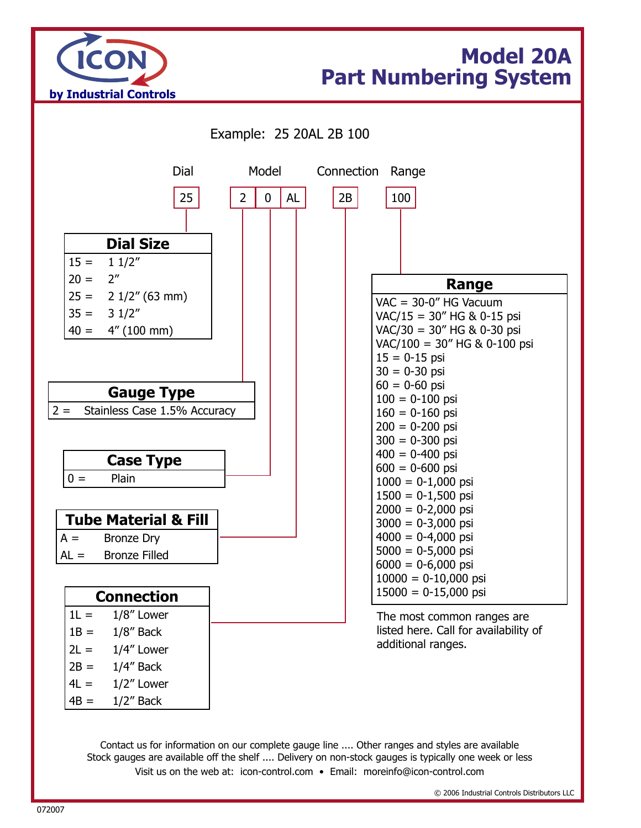

# **Model 20A Part Numbering System**



Visit us on the web at: icon-control.com • Email: moreinfo@icon-control.com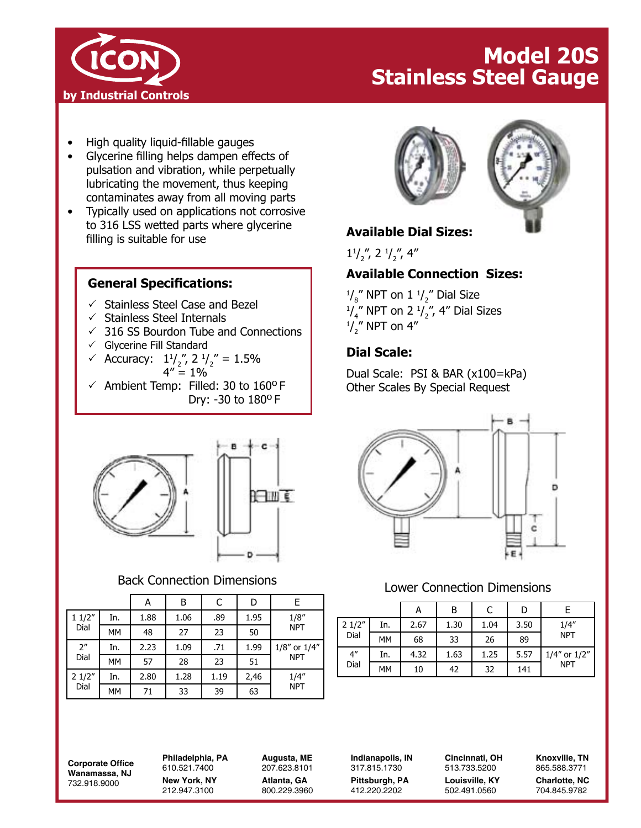

# **Model 20S Stainless Steel Gauge**

- High quality liquid-fillable gauges
- Glycerine filling helps dampen effects of pulsation and vibration, while perpetually lubricating the movement, thus keeping contaminates away from all moving parts
- Typically used on applications not corrosive to 316 LSS wetted parts where glycerine to 310 ESS welled parts where grycenne<br>filling is suitable for use

#### **General Specifications:**

- $\checkmark$  Stainless Steel Case and Bezel
- $\checkmark$  Stainless Steel Internals
- $\sqrt{}$  316 SS Bourdon Tube and Connections
- $\checkmark$  Glycerine Fill Standard
- Accuracy:  $1^{1/2}$ ,  $2^{1/2}$  = 1.5%  $4'' = 1\%$
- $\checkmark$  Ambient Temp: Filled: 30 to 160°F Dry: -30 to 1800 F





# Back Connection Dimensions

|                            |     | А    | В    | C    | D    | E                                |
|----------------------------|-----|------|------|------|------|----------------------------------|
| 11/2"<br>Dial              | In. | 1.88 | 1.06 | .89  | 1.95 | 1/8''<br><b>NPT</b>              |
|                            | МM  | 48   | 27   | 23   | 50   |                                  |
| $2^{\prime\prime}$<br>Dial | In. | 2.23 | 1.09 | .71  | 1.99 | $1/8''$ or $1/4''$<br><b>NPT</b> |
|                            | МM  | 57   | 28   | 23   | 51   |                                  |
| 21/2"<br>Dial              | In. | 2.80 | 1.28 | 1.19 | 2,46 | 1/4''<br><b>NPT</b>              |
|                            | МM  | 71   | 33   | 39   | 63   |                                  |





 $1^{1/2}$ ", 2 $^{1/2}$ ", 4"

## **Available Connection Sizes:**

 $\frac{1}{8}$ " NPT on 1  $\frac{1}{2}$ " Dial Size  $\frac{1}{4}$ " NPT on 2  $\frac{1}{2}$ ", 4" Dial Sizes  $\frac{1}{2}$ " NPT on 4"

# **Dial Scale:**

Dual Scale: PSI & BAR (x100=kPa) Other Scales By Special Request



## Lower Connection Dimensions

|                            |     | А    | Β    | C    | D    |              |
|----------------------------|-----|------|------|------|------|--------------|
| 21/2"<br>Dial              | In. | 2.67 | 1.30 | 1.04 | 3.50 | 1/4''        |
|                            | MM  | 68   | 33   | 26   | 89   | <b>NPT</b>   |
| $4^{\prime\prime}$<br>Dial | In. | 4.32 | 1.63 | 1.25 | 5.57 | 1/4" or 1/2" |
|                            | MM  | 10   | 42   | 32   | 141  | <b>NPT</b>   |

**Corporate Office Wanamassa, NJ** 732.918.9000

**Philadelphia, PA** 610.521.7400 **New York, NY** 212.947.3100

**Augusta, ME** 207.623.8101 **Atlanta, GA** 800.229.3960

**Indianapolis, IN** 317.815.1730 **Pittsburgh, PA** 412.220.2202

**Cincinnati, OH** 513.733.5200 **Louisville, KY** 502.491.0560

**Knoxville, TN** 865.588.3771 **Charlotte, NC** 704.845.9782